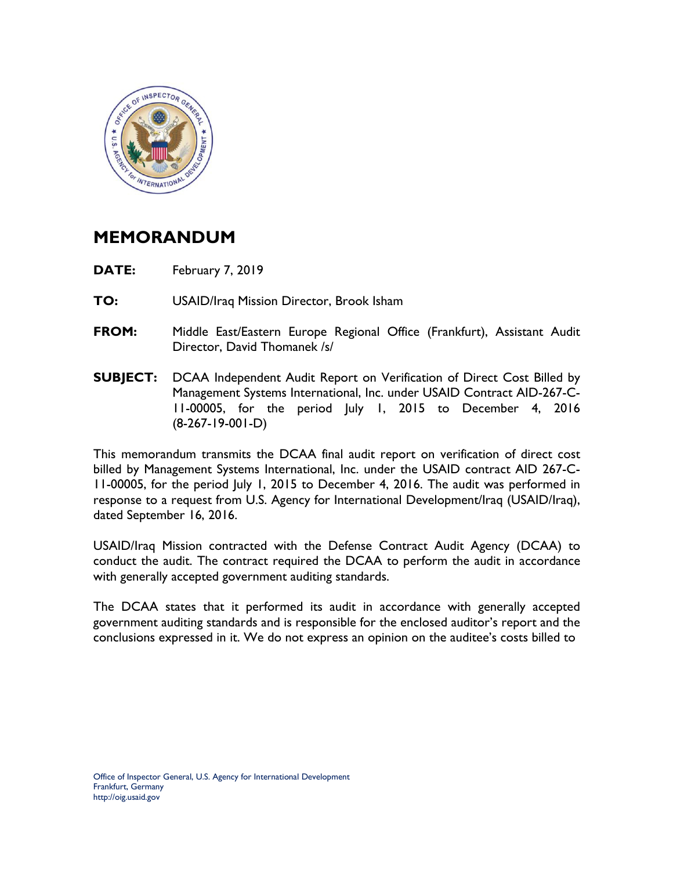

## **MEMORANDUM**

- **DATE:** February 7, 2019
- **TO:** USAID/Iraq Mission Director, Brook Isham
- **FROM:** Middle East/Eastern Europe Regional Office (Frankfurt), Assistant Audit Director, David Thomanek /s/
- **SUBJECT:** DCAA Independent Audit Report on Verification of Direct Cost Billed by Management Systems International, Inc. under USAID Contract AID-267-C-11-00005, for the period July 1, 2015 to December 4, 2016 (8-267-19-001-D)

This memorandum transmits the DCAA final audit report on verification of direct cost billed by Management Systems International, Inc. under the USAID contract AID 267-C-11-00005, for the period July 1, 2015 to December 4, 2016. The audit was performed in response to a request from U.S. Agency for International Development/Iraq (USAID/Iraq), dated September 16, 2016.

USAID/Iraq Mission contracted with the Defense Contract Audit Agency (DCAA) to conduct the audit. The contract required the DCAA to perform the audit in accordance with generally accepted government auditing standards.

The DCAA states that it performed its audit in accordance with generally accepted government auditing standards and is responsible for the enclosed auditor's report and the conclusions expressed in it. We do not express an opinion on the auditee's costs billed to